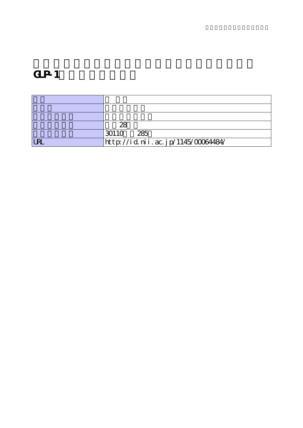# GLP-1

| 28                                 |
|------------------------------------|
| 30110<br>285                       |
| http://id.nii.ac.jp/1145/00064484/ |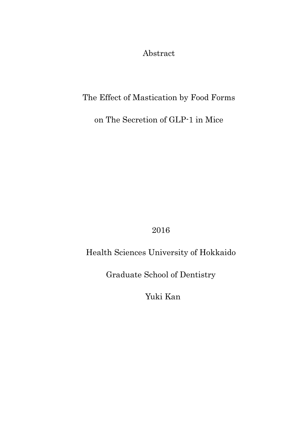Abstract

## The Effect of Mastication by Food Forms

on The Secretion of GLP-1 in Mice

2016

# Health Sciences University of Hokkaido

Graduate School of Dentistry

Yuki Kan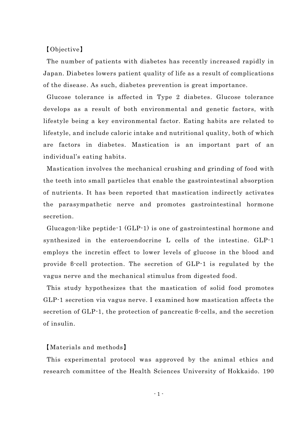### 【Objective】

The number of patients with diabetes has recently increased rapidly in Japan. Diabetes lowers patient quality of life as a result of complications of the disease. As such, diabetes prevention is great importance.

Glucose tolerance is affected in Type 2 diabetes. Glucose tolerance develops as a result of both environmental and genetic factors, with lifestyle being a key environmental factor. Eating habits are related to lifestyle, and include caloric intake and nutritional quality, both of which are factors in diabetes. Mastication is an important part of an individual's eating habits.

Mastication involves the mechanical crushing and grinding of food with the teeth into small particles that enable the gastrointestinal absorption of nutrients. It has been reported that mastication indirectly activates the parasympathetic nerve and promotes gastrointestinal hormone secretion.

Glucagon-like peptide-1 (GLP-1) is one of gastrointestinal hormone and synthesized in the enteroendocrine L cells of the intestine. GLP-1 employs the incretin effect to lower levels of glucose in the blood and provide β-cell protection. The secretion of GLP-1 is regulated by the vagus nerve and the mechanical stimulus from digested food.

This study hypothesizes that the mastication of solid food promotes GLP-1 secretion via vagus nerve. I examined how mastication affects the secretion of GLP-1, the protection of pancreatic β-cells, and the secretion of insulin.

### 【Materials and methods】

This experimental protocol was approved by the animal ethics and research committee of the Health Sciences University of Hokkaido. 190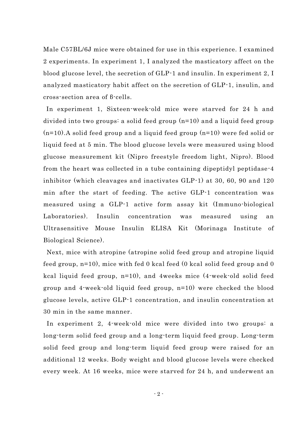Male C57BL/6J mice were obtained for use in this experience. I examined 2 experiments. In experiment 1, I analyzed the masticatory affect on the blood glucose level, the secretion of GLP-1 and insulin. In experiment 2, I analyzed masticatory habit affect on the secretion of GLP-1, insulin, and cross-section area of β-cells.

In experiment 1, Sixteen-week-old mice were starved for 24 h and divided into two groups: a solid feed group (n=10) and a liquid feed group  $(n=10)$ . A solid feed group and a liquid feed group  $(n=10)$  were fed solid or liquid feed at 5 min. The blood glucose levels were measured using blood glucose measurement kit (Nipro freestyle freedom light, Nipro). Blood from the heart was collected in a tube containing dipeptidyl peptidase-4 inhibitor (which cleavages and inactivates GLP-1) at 30, 60, 90 and 120 min after the start of feeding. The active GLP-1 concentration was measured using a GLP-1 active form assay kit (Immuno-biological Laboratories). Insulin concentration was measured using an Ultrasensitive Mouse Insulin ELISA Kit (Morinaga Institute of Biological Science).

Next, mice with atropine (atropine solid feed group and atropine liquid feed group, n=10), mice with fed 0 kcal feed (0 kcal solid feed group and 0 kcal liquid feed group, n=10), and 4weeks mice (4-week-old solid feed group and 4-week-old liquid feed group, n=10) were checked the blood glucose levels, active GLP-1 concentration, and insulin concentration at 30 min in the same manner.

In experiment 2, 4-week-old mice were divided into two groups: a long-term solid feed group and a long-term liquid feed group. Long-term solid feed group and long-term liquid feed group were raised for an additional 12 weeks. Body weight and blood glucose levels were checked every week. At 16 weeks, mice were starved for 24 h, and underwent an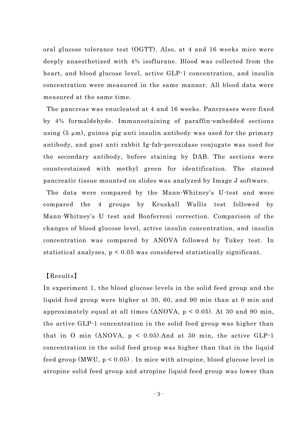oral glucose tolerance test (OGTT). Also, at 4 and 16 weeks mice were deeply anaesthetized with 4% isoflurane. Blood was collected from the heart, and blood glucose level, active GLP-1 concentration, and insulin concentration were measured in the same manner. All blood data were measured at the same time.

The pancreas was enucleated at 4 and 16 weeks. Pancreases were fixed by 4% formaldehyde. Immunostaining of paraffin-embedded sections using (5 µm), guinea pig anti insulin antibody was used for the primary antibody, and goat anti rabbit Ig-fab-peroxidase conjugate was used for the secondary antibody, before staining by DAB. The sections were counterstained with methyl green for identification. The stained pancreatic tissue mounted on slides was analyzed by Image J software.

The data were compared by the Mann-Whitney's U-test and were compared the 4 groups by Kruskall Wallis test followed by Mann-Whitney's U test and Bonferroni correction. Comparison of the changes of blood glucose level, active insulin concentration, and insulin concentration was compared by ANOVA followed by Tukey test. In statistical analyses, p < 0.05 was considered statistically significant.

#### 【Results】

In experiment 1, the blood glucose levels in the solid feed group and the liquid feed group were higher at 30, 60, and 90 min than at 0 min and approximately equal at all times (ANOVA,  $p < 0.05$ ). At 30 and 90 min, the active GLP-1 concentration in the solid feed group was higher than that in O min (ANOVA,  $p < 0.05$ ). And at 30 min, the active GLP-1 concentration in the solid feed group was higher than that in the liquid feed group (MWU, p < 0.05) . In mice with atropine, blood glucose level in atropine solid feed group and atropine liquid feed group was lower than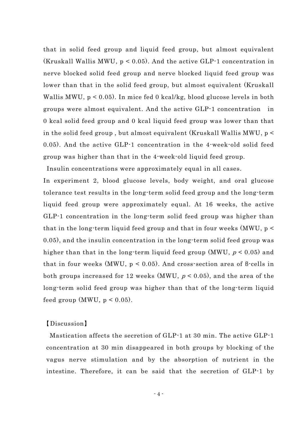that in solid feed group and liquid feed group, but almost equivalent (Kruskall Wallis MWU, p < 0.05). And the active GLP-1 concentration in nerve blocked solid feed group and nerve blocked liquid feed group was lower than that in the solid feed group, but almost equivalent (Kruskall Wallis MWU, p < 0.05). In mice fed 0 kcal/kg, blood glucose levels in both groups were almost equivalent. And the active GLP-1 concentration in 0 kcal solid feed group and 0 kcal liquid feed group was lower than that in the solid feed group , but almost equivalent (Kruskall Wallis MWU, p < 0.05). And the active GLP-1 concentration in the 4-week-old solid feed group was higher than that in the 4-week-old liquid feed group.

Insulin concentrations were approximately equal in all cases.

In experiment 2, blood glucose levels, body weight, and oral glucose tolerance test results in the long-term solid feed group and the long-term liquid feed group were approximately equal. At 16 weeks, the active GLP-1 concentration in the long-term solid feed group was higher than that in the long-term liquid feed group and that in four weeks (MWU, p < 0.05), and the insulin concentration in the long-term solid feed group was higher than that in the long-term liquid feed group (MWU,  $p < 0.05$ ) and that in four weeks (MWU,  $p < 0.05$ ). And cross-section area of 8-cells in both groups increased for 12 weeks (MWU,  $p < 0.05$ ), and the area of the long-term solid feed group was higher than that of the long-term liquid feed group (MWU,  $p < 0.05$ ).

#### 【Discussion】

Mastication affects the secretion of GLP-1 at 30 min. The active GLP-1 concentration at 30 min disappeared in both groups by blocking of the vagus nerve stimulation and by the absorption of nutrient in the intestine. Therefore, it can be said that the secretion of GLP-1 by